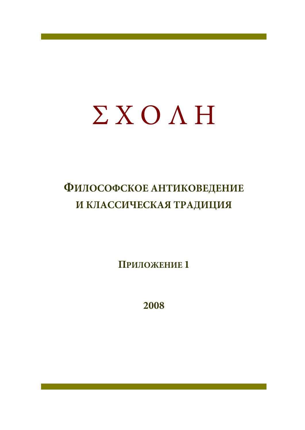# Σ Χ Ο Λ Η

# **МИЛА ССИНЕСИ А Я ТРА ПИНИЯ И КЛАССИЧЕСКАЯ ТРАДИЦИЯ**

Приложение 1 **ПРИЛОЖЕНИЕ 1** 

> 2008 **2008**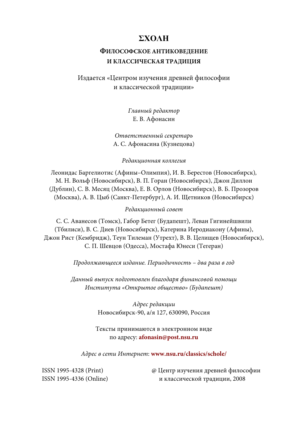### **ΣΧΟΛΗ**

# **ФИЛОСОФСКОЕ АНТИКОВЕДЕНИЕ** И КЛАССИЯ И КЛАССИЯ И КЛАССИЯ И КЛАССИЯ И КЛАССИЯ И КЛАССИЯ И КЛАССИЯ И КЛАССИЯ И КЛАССИЯ И КЛАССИЯ И КЛАССИЯ И<br>И примере поделение и классия и классия и классия и классия и классия и классия и классия и классия и классия

Издается «Центром изучения древней философии и классической традиции»

> Главный редактор Е. В. Афонасин

Ответственный секретарь А. С. Афонасина (Кузнецова)

Редакционная коллегия

Леонидас Баргелиотис (Афины–Олимпия), И. В. Берестов (Новосибирск), М. Н. Вольф (Новосибирск), В. П. Горан (Новосибирск), Джон Диллон (Дублин), С. В. Месяц (Москва), Е. В. Орлов (Новосибирск), В. Б. Прозоров (Москва), А. В. Цыб (Санкт-Петербург), А. И. Щетников (Новосибирск)

Редакционный совет

С. С. Аванесов (Томск), Габор Бетег (Будапешт), Леван Гигинейшвили (Тбилиси), В. С. Диев (Новосибирск), Катерина Иеродиакону (Афины), Джон Рист (Кембридж), Теун Тилеман (Утрехт), В. В. Целищев (Новосибирск), С. П. Шевцов (Одесса), Мостафа Юнеси (Тегеран)

Продолжающееся издание. Периодичность – два раза в год

Данный выпуск подготовлен благодаря финансовой помощи Института «Открытое общество» (Будапешт)

> Адрес редакции Новосибирск-90, а/я 127, 630090, Россия

Тексты принимаются в электронном виде по адресу: **[afonasin@post.nsu.ru](mailto:afonasin@post.nsu.ru)** 

Адрес в сети Интернет: **[www.nsu.ru/classics/schole/](http://www.nsu.ru/classics/schole/)**

@ Центр изучения древней философии и классической традиции, 2008

ISSN 1995-4328 (Print) ISSN 1995-4336 (Online)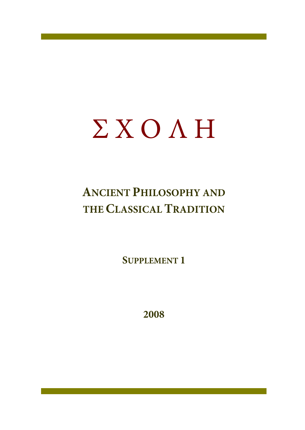# Σ Χ Ο Λ Η

# **ANCIENT PHILOSOPHY AND<br>THE CLASSICAL TRADITION THE CLASSICAL TRADITION**

**SUPPLEMENT 1 SUPPLEMENT 1** 

> 2008 **2008**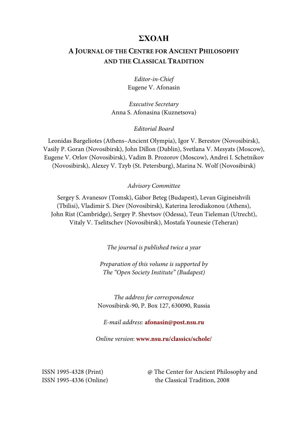### **ΣΧΟΛΗ**

# **A JOURNAL OF THE CENTRE FOR ANCIENT PHILOSOPHY AND THE CLASSICAL TRADITION**

Editor-in-Chief Eugene V. Afonasin

Executive Secretary Anna S. Afonasina (Kuznetsova)

Editorial Board

Leonidas Bargeliotes (Athens–Ancient Olympia), Igor V. Berestov (Novosibirsk), Vasily P. Goran (Novosibirsk), John Dillon (Dublin), Svetlana V. Mesyats (Moscow), Eugene V. Orlov (Novosibirsk), Vadim B. Prozorov (Moscow), Andrei I. Schetnikov (Novosibirsk), Alexey V. Tzyb (St. Petersburg), Marina N. Wolf (Novosibirsk)

Advisory Committee

Sergey S. Avanesov (Tomsk), Gábor Beteg (Budapest), Levan Gigineishvili (Tbilisi), Vladimir S. Diev (Novosibirsk), Katerina Ierodiakonou (Athens), John Rist (Cambridge), Sergey P. Shevtsov (Odessa), Teun Tieleman (Utrecht), Vitaly V. Tselitschev (Novosibirsk), Mostafa Younesie (Teheran)

The journal is published twice a year

Preparation of this volume is supported by The "Open Society Institute" (Budapest)

The address for correspondence Novosibirsk-90, P. Box 127, 630090, Russia

E-mail address: **[afonasin@post.nsu.ru](mailto:afonasin@post.nsu.ru)**

Online version: **[www.nsu.ru/classics/schole/](http://www.nsu.ru/classics/schole/)** 

ISSN 1995-4328 (Print) ISSN 1995-4336 (Online)  @ The Center for Ancient Philosophy and the Classical Tradition, 2008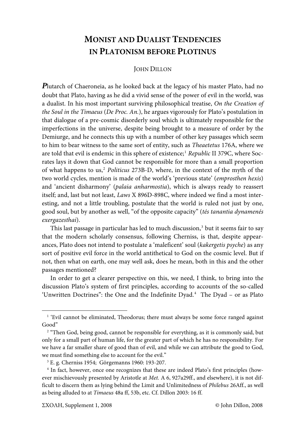## **MONIST AND DUALIST TENDENCIES IN PLATONISM BEFORE PLOTINUS IN PLATONISM BEFORE PLOTINUS**

#### **JOHN DILLON**

*P*lutarch of Chaeroneia, as he looked back at the legacy of his master Plato, had no doubt that Plato, having as he did a vivid sense of the power of evil in the world, was a dualist. In his most important surviving philosophical treatise, On the Creation of the Soul in the Timaeus (De Proc. An.), he argues vigorously for Plato's postulation in that dialogue of a pre-cosmic disorderly soul which is ultimately responsible for the imperfections in the universe, despite being brought to a measure of order by the Demiurge, and he connects this up with a number of other key passages which seem to him to bear witness to the same sort of entity, such as Theaetetus 176A, where we are told that evil is endemic in this sphere of existence;<sup>[1](#page-4-0)</sup> Republic II 379C, where Socrates lays it down that God cannot be responsible for more than a small proportion of what happens to us,<sup>[2](#page-4-1)</sup> Politicus 273B-D, where, in the context of the myth of the two world cycles, mention is made of the world's 'previous state' (emprosthen hexis) and 'ancient disharmony' (palaia anharmostia), which is always ready to reassert itself; and, last but not least, Laws X 896D-898C, where indeed we find a most interesting, and not a little troubling, postulate that the world is ruled not just by one, good soul, but by another as well, "of the opposite capacity" (tés tanantia dynamenés exergazesthai).

This last passage in particular has led to much discussion,<sup>[3](#page-4-2)</sup> but it seems fair to say that the modern scholarly consensus, following Cherniss, is that, despite appearances, Plato does not intend to postulate a 'maleficent' soul (kakergetis psyche) as any sort of positive evil force in the world antithetical to God on the cosmic level. But if not, then what on earth, one may well ask, does he mean, both in this and the other passages mentioned?

In order to get a clearer perspective on this, we need, I think, to bring into the discussion Plato's system of first principles, according to accounts of the so-called 'Unwritten Doctrines": the One and the Indefinite Dyad.<sup>[4](#page-4-3)</sup> The Dyad - or as Plato

<span id="page-4-0"></span><sup>&</sup>lt;sup>1</sup> 'Evil cannot be eliminated, Theodorus; there must always be some force ranged against Good"

<span id="page-4-1"></span><sup>&</sup>lt;sup>2</sup> "Then God, being good, cannot be responsible for everything, as it is commonly said, but only for a small part of human life, for the greater part of which he has no responsibility. For we have a far smaller share of good than of evil, and while we can attribute the good to God, we must find something else to account for the evil."

<sup>3</sup> E. g. Cherniss 1954; Görgemanns 1960: 193-207.

<span id="page-4-3"></span><span id="page-4-2"></span><sup>&</sup>lt;sup>4</sup> In fact, however, once one recognizes that these are indeed Plato's first principles (however mischievously presented by Aristotle at Met. A 6, 927a29ff., and elsewhere), it is not difficult to discern them as lying behind the Limit and Unlimitedness of Philebus 26Aff., as well as being alluded to at Timaeus 48a ff, 53b, etc. Cf. Dillon 2003: 16 ff.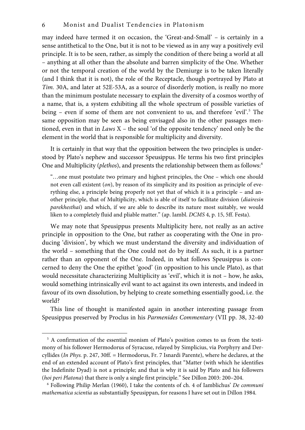may indeed have termed it on occasion, the 'Great-and-Small' – is certainly in a sense antithetical to the One, but it is not to be viewed as in any way a positively evil principle. It is to be seen, rather, as simply the condition of there being a world at all – anything at all other than the absolute and barren simplicity of the One. Whether or not the temporal creation of the world by the Demiurge is to be taken literally (and I think that it is not), the role of the Receptacle, though portrayed by Plato at Tim. 30A, and later at 52E-53A, as a source of disorderly motion, is really no more than the minimum postulate necessary to explain the diversity of a cosmos worthy of a name, that is, a system exhibiting all the whole spectrum of possible varieties of being - even if some of them are not convenient to us, and therefore 'evil'.<sup>[5](#page-5-0)</sup> The same opposition may be seen as being envisaged also in the other passages mentioned, even in that in *Laws*  $X$  – the soul 'of the opposite tendency' need only be the element in the world that is responsible for multiplicity and diversity.

It is certainly in that way that the opposition between the two principles is understood by Plato's nephew and successor Speusippus. He terms his two first principles One and Multiplicity (plethos), and presents the relationship between them as follows:<sup>[6](#page-5-1)</sup>

"…one must postulate two primary and highest principles, the One – which one should not even call existent (on), by reason of its simplicity and its position as principle of everything else, a principle being properly not yet that of which it is a principle – and another principle, that of Multiplicity, which is able of itself to facilitate division (diairesin parekhesthai) and which, if we are able to describe its nature most suitably, we would liken to a completely fluid and pliable matter." (ap. Iambl. DCMS 4, p. 15, 5ff. Festa).

We may note that Speusippus presents Multiplicity here, not really as an active principle in opposition to the One, but rather as cooperating with the One in producing 'division', by which we must understand the diversity and individuation of the world – something that the One could not do by itself. As such, it is a partner rather than an opponent of the One. Indeed, in what follows Speusippus is concerned to deny the One the epithet 'good' (in opposition to his uncle Plato), as that would necessitate characterizing Multiplicity as 'evil', which it is not – how, he asks, would something intrinsically evil want to act against its own interests, and indeed in favour of its own dissolution, by helping to create something essentially good, i.e. the world?

This line of thought is manifested again in another interesting passage from Speusippus preserved by Proclus in his Parmenides Commentary (VII pp. 38, 32-40

<span id="page-5-0"></span><sup>&</sup>lt;sup>5</sup> A confirmation of the essential monism of Plato's position comes to us from the testimony of his follower Hermodorus of Syracuse, relayed by Simplicius, via Porphyry and Dercyllides (In Phys. p. 247, 30ff. = Hermodorus, Fr. 7 Isnardi Parente), where he declares, at the end of an extended account of Plato's first principles, that "Matter (with which he identifies the Indefinite Dyad) is not a principle; and that is why it is said by Plato and his followers (hoi peri Platona) that there is only a single first principle." See Dillon 2003: 200–204.

<span id="page-5-1"></span><sup>&</sup>lt;sup>6</sup> Following Philip Merlan (1960), I take the contents of ch. 4 of Iamblichus' De communi mathematica scientia as substantially Speusippan, for reasons I have set out in Dillon 1984.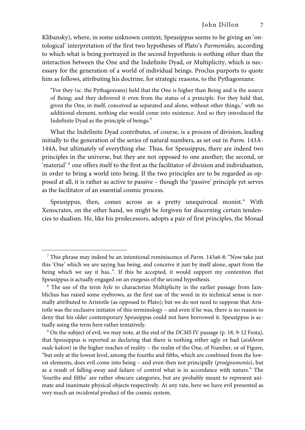Klibansky), where, in some unknown context, Speusippus seems to be giving an 'ontological' interpretation of the first two hypotheses of Plato's Parmenides, according to which what is being portrayed in the second hypothesis is nothing other than the interaction between the One and the Indefinite Dyad, or Multiplicity, which is necessary for the generation of a world of individual beings. Proclus purports to quote him as follows, attributing his doctrine, for strategic reasons, to the Pythagoreans:

"For they (sc. the Pythagoreans) held that the One is higher than Being and is the source of Being; and they delivered it even from the status of a principle. For they held that, given the One, in itself, conceived as separated and alone, without other things,<sup>[7](#page-6-0)</sup> with no additional element, nothing else would come into existence. And so they introduced the Indefinite Dyad as the principle of beings."

What the Indefinite Dyad contributes, of course, is a process of division, leading initially to the generation of the series of natural numbers, as set out in Parm. 143A-144A, but ultimately of everything else. Thus, for Speusippus, there are indeed two principles in the universe, but they are not opposed to one another; the second, or 'material' <sup>[8](#page-6-1)</sup> one offers itself to the first as the facilitator of division and individuation, in order to bring a world into being. If the two principles are to be regarded as opposed at all, it is rather as active to passive – though the 'passive' principle yet serves as the facilitator of an essential cosmic process.

Speusippus, then, comes across as a pretty unequivocal monist.<sup>[9](#page-6-2)</sup> With Xenocrates, on the other hand, we might be forgiven for discerning certain tendencies to dualism. He, like his predecessors, adopts a pair of first principles, the Monad

<span id="page-6-0"></span><sup>&</sup>lt;sup>7</sup> This phrase may indeed be an intentional reminiscence of Parm. 143a6-8: "Now take just this 'One' which we are saying has being, and conceive it just by itself alone, apart from the being which we say it has..". If this be accepted, it would support my contention that Speusippus is actually engaged on an exegesis of the second hypothesis.

<span id="page-6-1"></span> $\delta$  The use of the term *hyle* to characterize Multiplicity in the earlier passage from Iamblichus has raised some eyebrows, as the first use of the word in its technical sense is normally attributed to Aristotle (as opposed to Plato); but we do not need to suppose that Aristotle was the exclusive initiator of this terminology – and even if he was, there is no reason to deny that his older contemporary Speusippus could not have borrowed it. Speusippus is actually using the term here rather tentatively.

<span id="page-6-2"></span><sup>&</sup>lt;sup>9</sup> On the subject of evil, we may note, at the end of the DCMS IV passage (p. 18, 9-12 Festa), that Speusippus is reported as declaring that there is nothing either ugly or bad (aiskhron oude kakon) in the higher reaches of reality – the realm of the One, of Number, or of Figure, "but only at the lowest level, among the fourths and fifths, which are combined from the lowest elements, does evil come into being – and even then not principally (proégoumenós), but as a result of falling-away and failure of control what is in accordance with nature." The 'fourths and fifths' are rather obscure categories, but are probably meant to represent animate and inanimate physical objects respectively. At any rate, here we have evil presented as very much an incidental product of the cosmic system.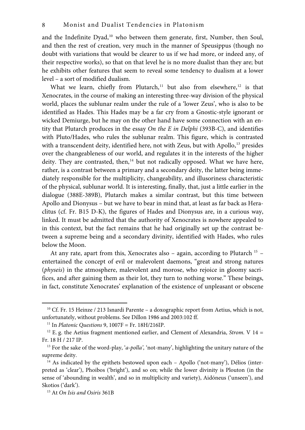and the Indefinite Dyad,<sup>[10](#page-7-0)</sup> who between them generate, first, Number, then Soul, and then the rest of creation, very much in the manner of Speusippus (though no doubt with variations that would be clearer to us if we had more, or indeed any, of their respective works), so that on that level he is no more dualist than they are; but he exhibits other features that seem to reveal some tendency to dualism at a lower level – a sort of modified dualism.

What we learn, chiefly from Plutarch,<sup>[11](#page-7-1)</sup> but also from elsewhere,<sup>[12](#page-7-2)</sup> is that Xenocrates, in the course of making an interesting three-way division of the physical world, places the sublunar realm under the rule of a 'lower Zeus', who is also to be identified as Hades. This Hades may be a far cry from a Gnostic-style ignorant or wicked Demiurge, but he may on the other hand have some connection with an entity that Plutarch produces in the essay On the E in Delphi (393B-C), and identifies with Pluto/Hades, who rules the sublunar realm. This figure, which is contrasted with a transcendent deity, identified here, not with Zeus, but with Apollo, $<sup>13</sup>$  $<sup>13</sup>$  $<sup>13</sup>$  presides</sup> over the changeableness of our world, and regulates it in the interests of the higher deity. They are contrasted, then,<sup>[14](#page-7-4)</sup> but not radically opposed. What we have here, rather, is a contrast between a primary and a secondary deity, the latter being immediately responsible for the multiplicity, changeability, and illusoriness characteristic of the physical, sublunar world. It is interesting, finally, that, just a little earlier in the dialogue (388E-389B), Plutarch makes a similar contrast, but this time between Apollo and Dionysus – but we have to bear in mind that, at least as far back as Heraclitus (cf. Fr. B15 D-K), the figures of Hades and Dionysus are, in a curious way, linked. It must be admitted that the authority of Xenocrates is nowhere appealed to in this context, but the fact remains that he had originally set up the contrast between a supreme being and a secondary divinity, identified with Hades, who rules below the Moon.

At any rate, apart from this, Xenocrates also – again, according to Plutarch  $15$  – entertained the concept of evil or malevolent daemons, "great and strong natures (physeis) in the atmosphere, malevolent and morose, who rejoice in gloomy sacrifices, and after gaining them as their lot, they turn to nothing worse." These beings, in fact, constitute Xenocrates' explanation of the existence of unpleasant or obscene

<span id="page-7-0"></span><sup>&</sup>lt;sup>10</sup> Cf. Fr. 15 Heinze / 213 Isnardi Parente – a doxographic report from Aetius, which is not, unfortunately, without problems. See Dillon 1986 and 2003:102 ff.

<span id="page-7-2"></span><span id="page-7-1"></span><sup>&</sup>lt;sup>11</sup> In *Platonic Questions* 9, 1007F = Fr. 18H/216IP.<br><sup>12</sup> E. g. the Aetius fragment mentioned earlier, and Clement of Alexandria, *Strom*. V 14 = Fr. 18 H / 217 IP.

<span id="page-7-3"></span> $13$  For the sake of the word-play, 'a-polla', 'not-many', highlighting the unitary nature of the supreme deity.

<span id="page-7-4"></span> $14$  As indicated by the epithets bestowed upon each – Apollo ('not-many'), Délios (interpreted as 'clear'), Phoibos ('bright'), and so on; while the lower divinity is Plouton (in the sense of 'abounding in wealth', and so in multiplicity and variety), Aidóneus ('unseen'), and Skotios ('dark').

<span id="page-7-5"></span><sup>15</sup> At On Isis and Osiris 361B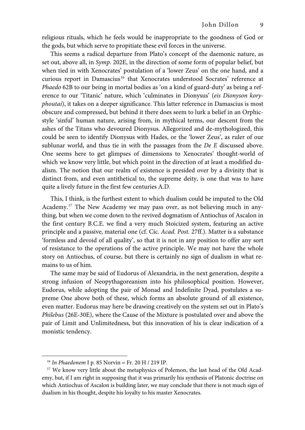religious rituals, which he feels would be inappropriate to the goodness of God or the gods, but which serve to propitiate these evil forces in the universe.

This seems a radical departure from Plato's concept of the daemonic nature, as set out, above all, in Symp. 202E, in the direction of some form of popular belief, but when tied in with Xenocrates' postulation of a 'lower Zeus' on the one hand, and a curious report in Damascius<sup>[16](#page-8-0)</sup> that Xenocrates understood Socrates' reference at Phaedo 62B to our being in mortal bodies as 'on a kind of guard-duty' as being a reference to our 'Titanic' nature, which 'culminates in Dionysus' (eis Dionyson koryphoutai), it takes on a deeper significance. This latter reference in Damascius is most obscure and compressed, but behind it there does seem to lurk a belief in an Orphicstyle 'sinful' human nature, arising from, in mythical terms, our descent from the ashes of the Titans who devoured Dionysus. Allegorized and de-mythologized, this could be seen to identify Dionysus with Hades, or the 'lower Zeus', as ruler of our sublunar world, and thus tie in with the passages from the  $De E$  discussed above. One seems here to get glimpses of dimensions to Xenocrates' thought-world of which we know very little, but which point in the direction of at least a modified dualism. The notion that our realm of existence is presided over by a divinity that is distinct from, and even antithetical to, the supreme deity, is one that was to have quite a lively future in the first few centuries A.D.

This, I think, is the furthest extent to which dualism could be imputed to the Old Academy.<sup>[17](#page-8-1)</sup> The New Academy we may pass over, as not believing much in anything, but when we come down to the revived dogmatism of Antiochus of Ascalon in the first century B.C.E. we find a very much Stoicized system, featuring an active principle and a passive, material one (cf. Cic. Acad. Post. 27ff.). Matter is a substance 'formless and devoid of all quality', so that it is not in any position to offer any sort of resistance to the operations of the active principle. We may not have the whole story on Antiochus, of course, but there is certainly no sign of dualism in what remains to us of him.

The same may be said of Eudorus of Alexandria, in the next generation, despite a strong infusion of Neopythagoreanism into his philosophical position. However, Eudorus, while adopting the pair of Monad and Indefinite Dyad, postulates a supreme One above both of these, which forms an absolute ground of all existence, even matter. Eudorus may here be drawing creatively on the system set out in Plato's Philebus (26E-30E), where the Cause of the Mixture is postulated over and above the pair of Limit and Unlimitedness, but this innovation of his is clear indication of a monistic tendency.

<span id="page-8-1"></span><span id="page-8-0"></span><sup>&</sup>lt;sup>16</sup> In Phaedonem I p. 85 Norvin = Fr. 20 H / 219 IP.<br><sup>17</sup> We know very little about the metaphysics of Polemon, the last head of the Old Academy, but, if I am right in supposing that it was primarily his synthesis of Platonic doctrine on which Antiochus of Ascalon is building later, we may conclude that there is not much sign of dualism in his thought, despite his loyalty to his master Xenocrates.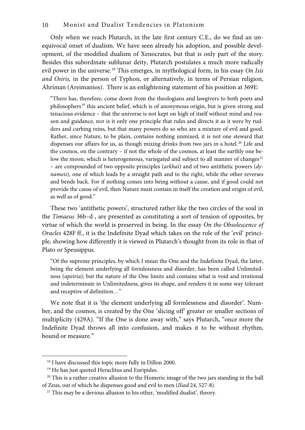#### 10 Monist and Dualist Tendencies in Platonism

Only when we reach Plutarch, in the late first century C.E., do we find an unequivocal onset of dualism. We have seen already his adoption, and possible development, of the modified dualism of Xenocrates, but that is only part of the story. Besides this subordinate sublunar deity, Plutarch postulates a much more radically evil power in the universe.<sup>[18](#page-9-0)</sup> This emerges, in mythological form, in his essay *On Isis* and Osiris, in the person of Typhon, or alternatively, in terms of Persian religion, Ahriman (Areimanios). There is an enlightening statement of his position at 369E:

"There has, therefore, come down from the theologians and lawgivers to both poets and philosophers[19](#page-9-1) this ancient belief, which is of anonymous origin, but is given strong and tenacious evidence – that the universe is not kept on high of itself without mind and reason and guidance, nor is it only one principle that rules and directs it as it were by rudders and curbing reins, but that many powers do so who are a mixture of evil and good. Rather, since Nature, to be plain, contains nothing unmixed, it is not one steward that dispenses our affairs for us, as though mixing drinks from two jars in a hotel.<sup>[20](#page-9-2)</sup> Life and the cosmos, on the contrary – if not the whole of the cosmos, at least the earthly one below the moon, which is heterogeneous, variegated and subject to all manner of changes $^{21}$  $^{21}$  $^{21}$ – are compounded of two opposite principles (*arkhai*) and of two antithetic powers ( $dy$ nameis), one of which leads by a straight path and to the right, while the other reverses and bends back. For if nothing comes into being without a cause, and if good could not provide the cause of evil, then Nature must contain in itself the creation and origin of evil, as well as of good."

These two 'antithetic powers', structured rather like the two circles of the soul in the Timaeus 36b–d , are presented as constituting a sort of tension of opposites, by virtue of which the world is preserved in being. In the essay On the Obsolescence of Oracles 428F ff., it is the Indefinite Dyad which takes on the role of the 'evil' principle, showing how differently it is viewed in Plutarch's thought from its role in that of Plato or Speusippus.

"Of the supreme principles, by which I mean the One and the Indefinite Dyad, the latter, being the element underlying all formlessness and disorder, has been called Unlimitedness (apeiria); but the nature of the One limits and contains what is void and irrational and indeterminate in Unlimitedness, gives its shape, and renders it in some way tolerant and receptive of definition…"

We note that it is 'the element underlying all formlessness and disorder'. Number, and the cosmos, is created by the One 'slicing off' greater or smaller sections of multiplicity (429A). "If the One is done away with," says Plutarch, "once more the Indefinite Dyad throws all into confusion, and makes it to be without rhythm, bound or measure."

<sup>18</sup> I have discussed this topic more fully in Dillon 2000.

<sup>&</sup>lt;sup>19</sup> He has just quoted Heraclitus and Euripides.

<span id="page-9-3"></span><span id="page-9-2"></span><span id="page-9-1"></span><span id="page-9-0"></span> $20$  This is a rather creative allusion to the Homeric image of the two jars standing in the hall of Zeus, out of which he dispenses good and evil to men (*Iliad* 24, 527-8).<br><sup>21</sup> This may be a devious allusion to his other, 'modified dualist', theory.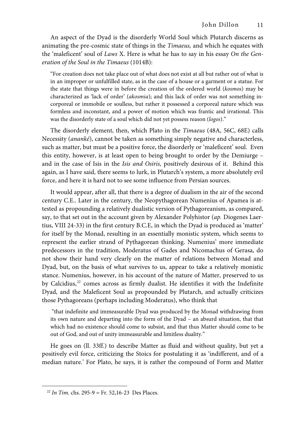An aspect of the Dyad is the disorderly World Soul which Plutarch discerns as animating the pre-cosmic state of things in the Timaeus, and which he equates with the 'maleficent' soul of Laws X. Here is what he has to say in his essay On the Generation of the Soul in the Timaeus (1014B):

"For creation does not take place out of what does not exist at all but rather out of what is in an improper or unfulfilled state, as in the case of a house or a garment or a statue. For the state that things were in before the creation of the ordered world (kosmos) may be characterized as 'lack of order' (akosmia); and this lack of order was not something incorporeal or immobile or soulless, but rather it possessed a corporeal nature which was formless and inconstant, and a power of motion which was frantic and irrational. This was the disorderly state of a soul which did not yet possess reason (logos)."

The disorderly element, then, which Plato in the Timaeus (48A, 56C, 68E) calls Necessity (ananké), cannot be taken as something simply negative and characterless, such as matter, but must be a positive force, the disorderly or 'maleficent' soul. Even this entity, however, is at least open to being brought to order by the Demiurge – and in the case of Isis in the Isis and Osiris, positively desirous of it. Behind this again, as I have said, there seems to lurk, in Plutarch's system, a more absolutely evil force, and here it is hard not to see some influence from Persian sources.

It would appear, after all, that there is a degree of dualism in the air of the second century C.E.. Later in the century, the Neopythagorean Numenius of Apamea is attested as propounding a relatively dualistic version of Pythagoreanism, as compared, say, to that set out in the account given by Alexander Polyhistor (ap. Diogenes Laertius, VIII 24-33) in the first century B.C.E, in which the Dyad is produced as 'matter' for itself by the Monad, resulting in an essentially monistic system, which seems to represent the earlier strand of Pythagorean thinking. Numenius' more immediate predecessors in the tradition, Moderatus of Gades and Nicomachus of Gerasa, do not show their hand very clearly on the matter of relations between Monad and Dyad, but, on the basis of what survives to us, appear to take a relatively monistic stance. Numenius, however, in his account of the nature of Matter, preserved to us by Calcidius, $22$  comes across as firmly dualist. He identifies it with the Indefinite Dyad, and the Maleficent Soul as propounded by Plutarch, and actually criticizes those Pythagoreans (perhaps including Moderatus), who think that

 "that indefinite and immeasurable Dyad was produced by the Monad withdrawing from its own nature and departing into the form of the Dyad – an absurd situation, that that which had no existence should come to subsist, and that thus Matter should come to be out of God, and out of unity immeasurable and limitless duality."

He goes on (ll. 33ff.) to describe Matter as fluid and without quality, but yet a positively evil force, criticizing the Stoics for postulating it as 'indifferent, and of a median nature.' For Plato, he says, it is rather the compound of Form and Matter

<span id="page-10-0"></span><sup>&</sup>lt;sup>22</sup> In Tim. chs. 295-9 = Fr. 52,16-23 Des Places.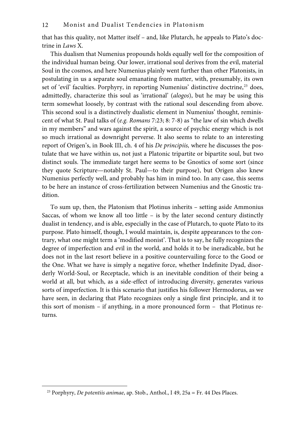that has this quality, not Matter itself – and, like Plutarch, he appeals to Plato's doctrine in Laws X.

This dualism that Numenius propounds holds equally well for the composition of the individual human being. Our lower, irrational soul derives from the evil, material Soul in the cosmos, and here Numenius plainly went further than other Platonists, in postulating in us a separate soul emanating from matter, with, presumably, its own set of 'evil' faculties. Porphyry, in reporting Numenius' distinctive doctrine,<sup>[23](#page-11-0)</sup> does, admittedly, characterize this soul as 'irrational' (alogos), but he may be using this term somewhat loosely, by contrast with the rational soul descending from above. This second soul is a distinctively dualistic element in Numenius' thought, reminiscent of what St. Paul talks of (e.g. Romans 7:23; 8: 7-8) as "the law of sin which dwells in my members" and wars against the spirit, a source of psychic energy which is not so much irrational as downright perverse. It also seems to relate to an interesting report of Origen's, in Book III, ch. 4 of his De principiis, where he discusses the postulate that we have within us, not just a Platonic tripartite or bipartite soul, but two distinct souls. The immediate target here seems to be Gnostics of some sort (since they quote Scripture—notably St. Paul—to their purpose), but Origen also knew Numenius perfectly well, and probably has him in mind too. In any case, this seems to be here an instance of cross-fertilization between Numenius and the Gnostic tradition.

To sum up, then, the Platonism that Plotinus inherits – setting aside Ammonius Saccas, of whom we know all too little – is by the later second century distinctly dualist in tendency, and is able, especially in the case of Plutarch, to quote Plato to its purpose. Plato himself, though, I would maintain, is, despite appearances to the contrary, what one might term a 'modified monist'. That is to say, he fully recognizes the degree of imperfection and evil in the world, and holds it to be ineradicable, but he does not in the last resort believe in a positive countervailing force to the Good or the One. What we have is simply a negative force, whether Indefinite Dyad, disorderly World-Soul, or Receptacle, which is an inevitable condition of their being a world at all, but which, as a side-effect of introducing diversity, generates various sorts of imperfection. It is this scenario that justifies his follower Hermodorus, as we have seen, in declaring that Plato recognizes only a single first principle, and it to this sort of monism – if anything, in a more pronounced form – that Plotinus returns.

<span id="page-11-0"></span><sup>&</sup>lt;sup>23</sup> Porphyry, *De potentiis animae*, ap. Stob., Anthol., I 49, 25a = Fr. 44 Des Places.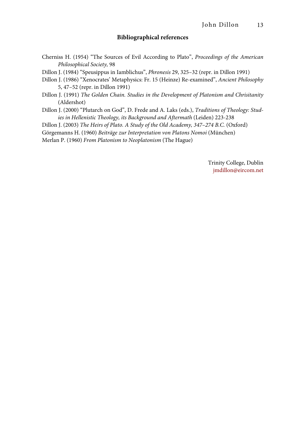#### **Bibliographical references**

- Cherniss H. (1954) "The Sources of Evil According to Plato", Proceedings of the American Philosophical Society, 98
- Dillon J. (1984) "Speusippus in Iamblichus", Phronesis 29, 325–32 (repr. in Dillon 1991)
- Dillon J. (1986) "Xenocrates' Metaphysics: Fr. 15 (Heinze) Re-examined", Ancient Philosophy 5, 47–52 (repr. in Dillon 1991)
- Dillon J. (1991) The Golden Chain. Studies in the Development of Platonism and Chrisitanity (Aldershot)
- Dillon J. (2000) "Plutarch on God", D. Frede and A. Laks (eds.), Traditions of Theology: Studies in Hellenistic Theology, its Background and Aftermath (Leiden) 223-238
- Dillon J. (2003) The Heirs of Plato. A Study of the Old Academy, 347–274 B.C. (Oxford)
- Görgemanns H. (1960) Beiträge zur Interpretation von Platons Nomoi (München)

Merlan P. (1960) From Platonism to Neoplatonism (The Hague)

Trinity College, Dublin [jmdillon@eircom.net](mailto:jmdillon@eircom.net)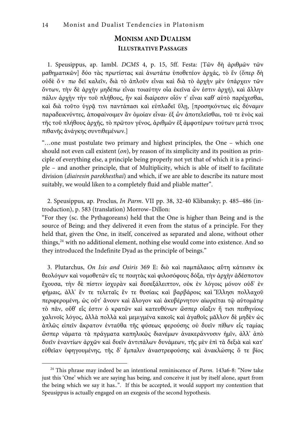# **MONISM AND DUALISM ILLUSTRATIVE PASSAGES**

1. Speusippus, ap. Iambl. DCMS 4, p. 15, 5ff. Festa: [Τῶν δὴ ἀριθμῶν τῶν μαθηματικῶν] δύο τὰς πρωτίστας καὶ ἀνωτάτω ὑποθετέον ἀρχάς, τὸ ἕν (ὅπερ δὴ οὐδὲ ὄ ν πω δεῖ καλεῖν, διὰ τὸ ἁπλοῦν εἶναι καὶ διὰ τὸ ἀρχὴν μὲν ὑπάρχειν τῶν ὄντων, τὴν δὲ ἀρχὴν μηδέπω εἶναι τοιαύτην οἷα ἐκεῖνα ὧν ἐστιν ἀρχή), καὶ ἄλλην πάλιν ἀρχὴν τὴν τοῦ πλήθους, ἣν καὶ διαίρεσιν οἷόν τ' εἶναι καθ' αὑτὸ παρέχεσθαι, καὶ διὰ τοῦτο ὑγρᾷ τινι παντάπασι καὶ εὐπλαδεῖ ὕλῃ, [προσηκόντως εἰς δύναμιν παραδεικνύντες, ἀποφαίνοιμεν ἂν ὁμοίαν εἶναι· ἐξ ὧν ἀποτελεῖσθαι, τοῦ τε ἑνὸς καὶ τῆς τοῦ πλήθους ἀρχῆς, τὸ πρῶτον γένος, ἀριθμῶν ἐξ ἀμφοτέρων τούτων μετά τινος πιθανῆς ἀνάγκης συντιθεμένων.]

"…one must postulate two primary and highest principles, the One – which one should not even call existent  $(on)$ , by reason of its simplicity and its position as principle of everything else, a principle being properly not yet that of which it is a principle – and another principle, that of Multiplicity, which is able of itself to facilitate division (*diairesin parekhesthai*) and which, if we are able to describe its nature most suitably, we would liken to a completely fluid and pliable matter".

2. Speusippus, ap. Proclus, In Parm. VII pp. 38, 32-40 Klibansky; p. 485–486 (introduction), p. 583 (translation) Morrow–Dillon:

"For they (sc. the Pythagoreans) held that the One is higher than Being and is the source of Being; and they delivered it even from the status of a principle. For they held that, given the One, in itself, conceived as separated and alone, without other things,<sup>[24](#page-13-0)</sup> with no additional element, nothing else would come into existence. And so they introduced the Indefinite Dyad as the principle of beings."

3. Plutarchus, On Isis and Osiris 369 E: διὸ καὶ παμπάλαιος αὕτη κάτεισιν ἐκ θεολόγων καὶ νομοθετῶν εἴς τε ποιητὰς καὶ φιλοσόφους δόξα, τὴν ἀρχὴν ἀδέσποτον ἔχουσα, τὴν δὲ πίστιν ἰσχυρὰν καὶ δυσεξάλειπτον, οὐκ ἐν λόγοις μόνον οὐδ' ἐν φήμαις, ἀλλ' ἔν τε τελεταῖς ἔν τε θυσίαις καὶ βαρβάροις καὶ Ἕλλησι πολλαχοῦ περιφερομένη, ὡς οὔτ' ἄνουν καὶ ἄλογον καὶ ἀκυβέρνητον αἰωρεῖται τῷ αὐτομάτῳ τὸ πᾶν, οὔθ' εἷς ἐστιν ὁ κρατῶν καὶ κατευθύνων ὥσπερ οἴαξιν ἤ τισι πειθηνίοις χαλινοῖς λόγος, ἀλλὰ πολλὰ καὶ μεμιγμένα κακοῖς καὶ ἀγαθοῖς μᾶλλον δὲ μηδὲν ὡς ἁπλῶς εἰπεῖν ἄκρατον ἐνταῦθα τῆς φύσεως φερούσης οὐ δυεῖν πίθων εἷς ταμίας ὥσπερ νάματα τὰ πράγματα καπηλικῶς διανέμων ἀνακεράννυσιν ἡμῖν, ἀλλ' ἀπὸ δυεῖν ἐναντίων ἀρχῶν καὶ δυεῖν ἀντιπάλων δυνάμεων, τῆς μὲν ἐπὶ τὰ δεξιὰ καὶ κατ' εὐθεῖαν ὑφηγουμένης, τῆς δ' ἔμπαλιν ἀναστρεφούσης καὶ ἀνακλώσης ὅ τε βίος

<span id="page-13-0"></span> $24$  This phrase may indeed be an intentional reminiscence of *Parm*. 143a6-8: "Now take just this 'One' which we are saying has being, and conceive it just by itself alone, apart from the being which we say it has..". If this be accepted, it would support my contention that Speusippus is actually engaged on an exegesis of the second hypothesis.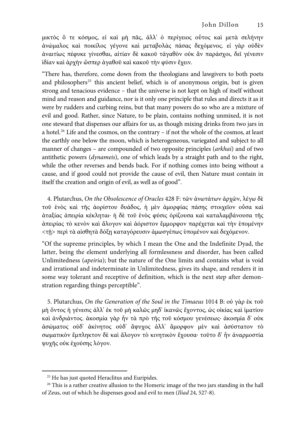μικτὸς ὅ τε κόσμος, εἰ καὶ μὴ πᾶς, ἀλλ' ὁ περίγειος οὗτος καὶ μετὰ σελήνην ἀνώμαλος καὶ ποικίλος γέγονε καὶ μεταβολὰς πάσας δεχόμενος. εἰ γὰρ οὐδὲν ἀναιτίως πέφυκε γίνεσθαι, αἰτίαν δὲ κακοῦ τἀγαθὸν οὐκ ἂν παράσχοι, δεῖ γένεσιν ἰδίαν καὶ ἀρχὴν ὥσπερ ἀγαθοῦ καὶ κακοῦ τὴν φύσιν ἔχειν.

"There has, therefore, come down from the theologians and lawgivers to both poets and philosophers<sup>[25](#page-14-0)</sup> this ancient belief, which is of anonymous origin, but is given strong and tenacious evidence – that the universe is not kept on high of itself without mind and reason and guidance, nor is it only one principle that rules and directs it as it were by rudders and curbing reins, but that many powers do so who are a mixture of evil and good. Rather, since Nature, to be plain, contains nothing unmixed, it is not one steward that dispenses our affairs for us, as though mixing drinks from two jars in a hotel.<sup>[26](#page-14-1)</sup> Life and the cosmos, on the contrary – if not the whole of the cosmos, at least the earthly one below the moon, which is heterogeneous, variegated and subject to all manner of changes – are compounded of two opposite principles (arkhai) and of two antithetic powers (dynameis), one of which leads by a straight path and to the right, while the other reverses and bends back. For if nothing comes into being without a cause, and if good could not provide the cause of evil, then Nature must contain in itself the creation and origin of evil, as well as of good".

4. Plutarchus, On the Obsolescence of Oracles 428 F: τῶν ἀνωτάτων ἀρχῶν, λέγω δὲ τοῦ ἑνὸς καὶ τῆς ἀορίστου δυάδος, ἡ μὲν ἀμορφίας πάσης στοιχεῖον οὖσα καὶ ἀταξίας ἀπειρία κέκληται· ἡ δὲ τοῦ ἑνὸς φύσις ὁρίζουσα καὶ καταλαμβάνουσα τῆς ἀπειρίας τὸ κενὸν καὶ ἄλογον καὶ ἀόριστον ἔμμορφον παρέχεται καὶ τὴν ἑπομένην <τῇ> περὶ τὰ αἰσθητὰ δόξῃ καταγόρευσιν ἁμωσγέπως ὑπομένον καὶ δεχόμενον.

"Of the supreme principles, by which I mean the One and the Indefinite Dyad, the latter, being the element underlying all formlessness and disorder, has been called Unlimitedness (apeiria); but the nature of the One limits and contains what is void and irrational and indeterminate in Unlimitedness, gives its shape, and renders it in some way tolerant and receptive of definition, which is the next step after demonstration regarding things perceptible".

5. Plutarchus, On the Generation of the Soul in the Timaeus 1014 B: οὐ γὰρ ἐκ τοῦ μὴ ὄντος ἡ γένεσις ἀλλ' ἐκ τοῦ μὴ καλῶς μηδ' ἱκανῶς ἔχοντος, ὡς οἰκίας καὶ ἱματίου καὶ ἀνδριάντος. ἀκοσμία γὰρ ἦν τὰ πρὸ τῆς τοῦ κόσμου γενέσεως· ἀκοσμία δ' οὐκ ἀσώματος οὐδ' ἀκίνητος οὐδ' ἄψυχος ἀλλ' ἄμορφον μὲν καὶ ἀσύστατον τὸ σωματικὸν ἔμπληκτον δὲ καὶ ἄλογον τὸ κινητικὸν ἔχουσα· τοῦτο δ' ἦν ἀναρμοστία ψυχῆς οὐκ ἐχούσης λόγον.

<sup>&</sup>lt;sup>25</sup> He has just quoted Heraclitus and Euripides.

<span id="page-14-1"></span><span id="page-14-0"></span> $26$  This is a rather creative allusion to the Homeric image of the two jars standing in the hall of Zeus, out of which he dispenses good and evil to men (Iliad 24, 527-8).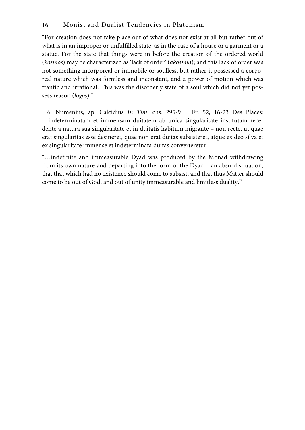"For creation does not take place out of what does not exist at all but rather out of what is in an improper or unfulfilled state, as in the case of a house or a garment or a statue. For the state that things were in before the creation of the ordered world (kosmos) may be characterized as 'lack of order' (akosmia); and this lack of order was not something incorporeal or immobile or soulless, but rather it possessed a corporeal nature which was formless and inconstant, and a power of motion which was frantic and irrational. This was the disorderly state of a soul which did not yet possess reason (logos)."

6. Numenius, ap. Calcidius In Tim. chs. 295-9 = Fr. 52, 16-23 Des Places: …indeterminatam et immensam duitatem ab unica singularitate institutam recedente a natura sua singularitate et in duitatis habitum migrante – non recte, ut quae erat singularitas esse desineret, quae non erat duitas subsisteret, atque ex deo silva et ex singularitate immense et indeterminata duitas converteretur.

"…indefinite and immeasurable Dyad was produced by the Monad withdrawing from its own nature and departing into the form of the Dyad – an absurd situation, that that which had no existence should come to subsist, and that thus Matter should come to be out of God, and out of unity immeasurable and limitless duality."